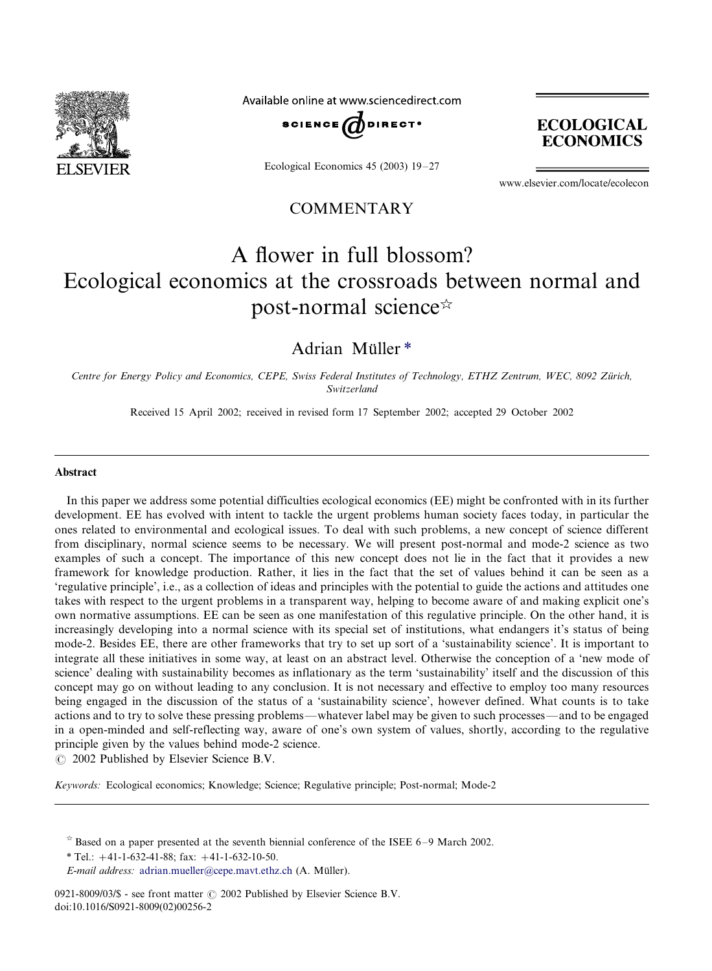

Available online at www.sciencedirect.com



Ecological Economics 45 (2003) 19-27



www.elsevier.com/locate/ecolecon

### COMMENTARY

# A flower in full blossom? Ecological economics at the crossroads between normal and post-normal science

Adrian Müller<sup>\*</sup>

Centre for Energy Policy and Economics, CEPE, Swiss Federal Institutes of Technology, ETHZ Zentrum, WEC, 8092 Zürich, Switzerland

Received 15 April 2002; received in revised form 17 September 2002; accepted 29 October 2002

#### Abstract

In this paper we address some potential difficulties ecological economics (EE) might be confronted with in its further development. EE has evolved with intent to tackle the urgent problems human society faces today, in particular the ones related to environmental and ecological issues. To deal with such problems, a new concept of science different from disciplinary, normal science seems to be necessary. We will present post-normal and mode-2 science as two examples of such a concept. The importance of this new concept does not lie in the fact that it provides a new framework for knowledge production. Rather, it lies in the fact that the set of values behind it can be seen as a 'regulative principle', i.e., as a collection of ideas and principles with the potential to guide the actions and attitudes one takes with respect to the urgent problems in a transparent way, helping to become aware of and making explicit one's own normative assumptions. EE can be seen as one manifestation of this regulative principle. On the other hand, it is increasingly developing into a normal science with its special set of institutions, what endangers it's status of being mode-2. Besides EE, there are other frameworks that try to set up sort of a 'sustainability science'. It is important to integrate all these initiatives in some way, at least on an abstract level. Otherwise the conception of a 'new mode of science' dealing with sustainability becomes as inflationary as the term 'sustainability' itself and the discussion of this concept may go on without leading to any conclusion. It is not necessary and effective to employ too many resources being engaged in the discussion of the status of a 'sustainability science', however defined. What counts is to take actions and to try to solve these pressing problems—whatever label may be given to such processes—and to be engaged in a open-minded and self-reflecting way, aware of one's own system of values, shortly, according to the regulative principle given by the values behind mode-2 science.

 $\odot$  2002 Published by Elsevier Science B.V.

Keywords: Ecological economics; Knowledge; Science; Regulative principle; Post-normal; Mode-2

0921-8009/03/\$ - see front matter © 2002 Published by Elsevier Science B.V. doi:10.1016/S0921-8009(02)00256-2

 $*$  Based on a paper presented at the seventh biennial conference of the ISEE 6-9 March 2002.

<sup>\*</sup> Tel.:  $+41-1-632-41-88$ ; fax:  $+41-1-632-10-50$ .

E-mail address: [adrian.mueller@cepe.ma](mailto:adrian.mueller@cepe.mavt.ethz.ch)vt.ethz.ch (A. Müller).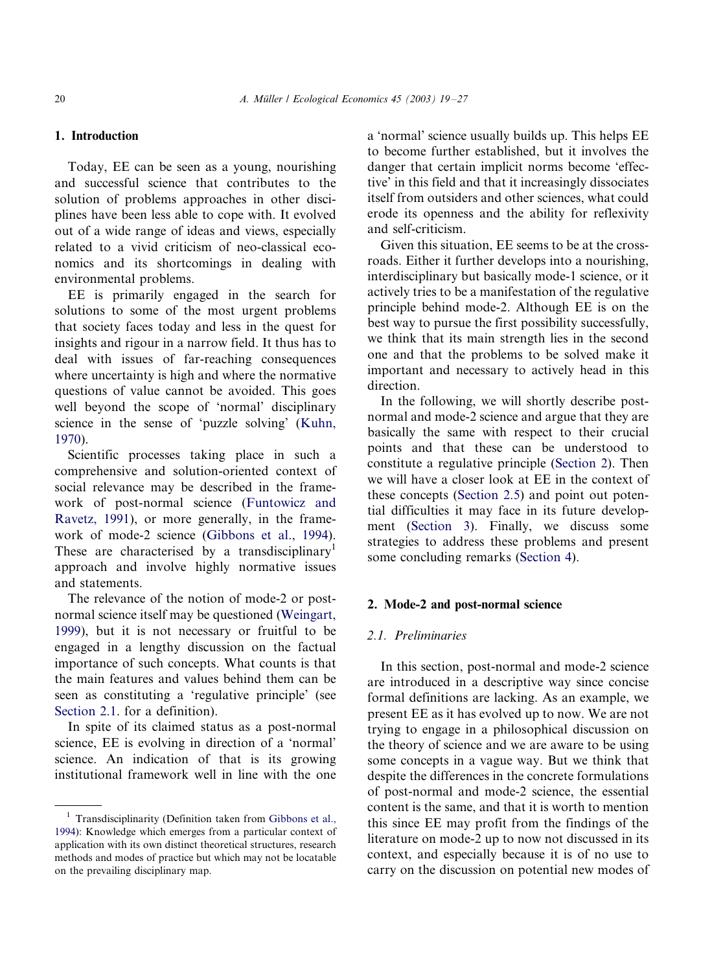### 1. Introduction

Today, EE can be seen as a young, nourishing and successful science that contributes to the solution of problems approaches in other disciplines have been less able to cope with. It evolved out of a wide range of ideas and views, especially related to a vivid criticism of neo-classical economics and its shortcomings in dealing with environmental problems.

EE is primarily engaged in the search for solutions to some of the most urgent problems that society faces today and less in the quest for insights and rigour in a narrow field. It thus has to deal with issues of far-reaching consequences where uncertainty is high and where the normative questions of value cannot be avoided. This goes well beyond the scope of 'normal' disciplinary science in the sense of 'puzzle solving' ([Kuhn,](#page--1-0) [1970\)](#page--1-0).

Scientific processes taking place in such a comprehensive and solution-oriented context of social relevance may be described in the framework of post-normal science [\(Funtowicz and](#page--1-0) Rav[etz, 1991](#page--1-0)), or more generally, in the framework of mode-2 science [\(Gibbons et al., 1994\)](#page--1-0). These are characterised by a transdisciplinary<sup>1</sup> approach and involve highly normative issues and statements.

The relevance of the notion of mode-2 or postnormal science itself may be questioned ([Weingart,](#page--1-0) [1999\)](#page--1-0), but it is not necessary or fruitful to be engaged in a lengthy discussion on the factual importance of such concepts. What counts is that the main features and values behind them can be seen as constituting a 'regulative principle' (see Section 2.1. for a definition).

In spite of its claimed status as a post-normal science, EE is evolving in direction of a 'normal' science. An indication of that is its growing institutional framework well in line with the one

a 'normal' science usually builds up. This helps EE to become further established, but it involves the danger that certain implicit norms become 'effective' in this field and that it increasingly dissociates itself from outsiders and other sciences, what could erode its openness and the ability for reflexivity and self-criticism.

Given this situation, EE seems to be at the crossroads. Either it further develops into a nourishing, interdisciplinary but basically mode-1 science, or it actively tries to be a manifestation of the regulative principle behind mode-2. Although EE is on the best way to pursue the first possibility successfully, we think that its main strength lies in the second one and that the problems to be solved make it important and necessary to actively head in this direction.

In the following, we will shortly describe postnormal and mode-2 science and argue that they are basically the same with respect to their crucial points and that these can be understood to constitute a regulative principle (Section 2). Then we will have a closer look at EE in the context of these concepts ([Section 2.5\)](#page--1-0) and point out potential difficulties it may face in its future development [\(Section 3](#page--1-0)). Finally, we discuss some strategies to address these problems and present some concluding remarks [\(Section 4](#page--1-0)).

#### 2. Mode-2 and post-normal science

#### 2.1. Preliminaries

In this section, post-normal and mode-2 science are introduced in a descriptive way since concise formal definitions are lacking. As an example, we present EE as it has evolved up to now. We are not trying to engage in a philosophical discussion on the theory of science and we are aware to be using some concepts in a vague way. But we think that despite the differences in the concrete formulations of post-normal and mode-2 science, the essential content is the same, and that it is worth to mention this since EE may profit from the findings of the literature on mode-2 up to now not discussed in its context, and especially because it is of no use to carry on the discussion on potential new modes of

<sup>&</sup>lt;sup>1</sup> Transdisciplinarity (Definition taken from [Gibbons et al.,](#page--1-0) [1994\)](#page--1-0): Knowledge which emerges from a particular context of application with its own distinct theoretical structures, research methods and modes of practice but which may not be locatable on the prevailing disciplinary map.